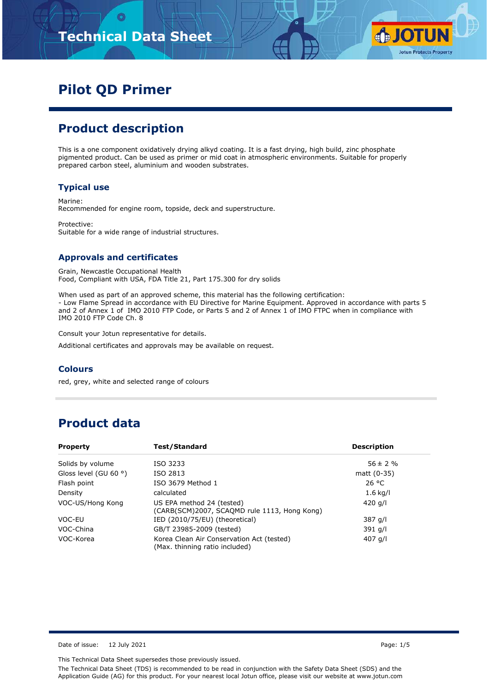# **Technical Data Sheet**



# **Pilot QD Primer**

### **Product description**

This is a one component oxidatively drying alkyd coating. It is a fast drying, high build, zinc phosphate pigmented product. Can be used as primer or mid coat in atmospheric environments. Suitable for properly prepared carbon steel, aluminium and wooden substrates.

#### **Typical use**

Marine: Recommended for engine room, topside, deck and superstructure.

Protective: Suitable for a wide range of industrial structures.

#### **Approvals and certificates**

Grain, Newcastle Occupational Health Food, Compliant with USA, FDA Title 21, Part 175.300 for dry solids

When used as part of an approved scheme, this material has the following certification: - Low Flame Spread in accordance with EU Directive for Marine Equipment. Approved in accordance with parts 5 and 2 of Annex 1 of IMO 2010 FTP Code, or Parts 5 and 2 of Annex 1 of IMO FTPC when in compliance with IMO 2010 FTP Code Ch. 8

Consult your Jotun representative for details.

Additional certificates and approvals may be available on request.

#### **Colours**

red, grey, white and selected range of colours

### **Product data**

| Test/Standard<br><b>Property</b> |                                                                             | <b>Description</b> |  |
|----------------------------------|-----------------------------------------------------------------------------|--------------------|--|
| Solids by volume                 | ISO 3233                                                                    | $56 \pm 2 \%$      |  |
| Gloss level (GU 60 $\degree$ )   | ISO 2813                                                                    | matt $(0-35)$      |  |
| Flash point                      | ISO 3679 Method 1                                                           | 26 °C              |  |
| Density                          | calculated                                                                  | $1.6$ kg/l         |  |
| VOC-US/Hong Kong                 | US EPA method 24 (tested)<br>(CARB(SCM)2007, SCAQMD rule 1113, Hong Kong)   | 420 g/l            |  |
| VOC-EU                           | IED (2010/75/EU) (theoretical)                                              | 387 g/l            |  |
| VOC-China                        | GB/T 23985-2009 (tested)                                                    | 391 g/l            |  |
| VOC-Korea                        | Korea Clean Air Conservation Act (tested)<br>(Max. thinning ratio included) | 407 g/l            |  |

Date of issue: 12 July 2021 2021 2021 20:30 Page: 1/5

This Technical Data Sheet supersedes those previously issued.

The Technical Data Sheet (TDS) is recommended to be read in conjunction with the Safety Data Sheet (SDS) and the Application Guide (AG) for this product. For your nearest local Jotun office, please visit our website at www.jotun.com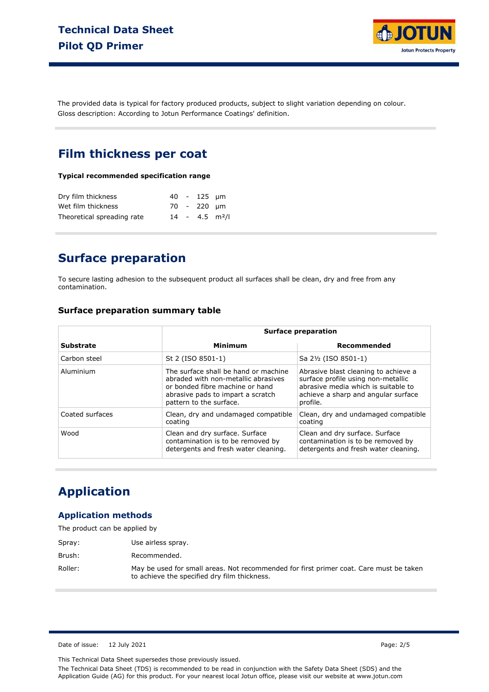

The provided data is typical for factory produced products, subject to slight variation depending on colour. Gloss description: According to Jotun Performance Coatings' definition.

### **Film thickness per coat**

#### **Typical recommended specification range**

| Dry film thickness         |  | $40 - 125$ um                |  |
|----------------------------|--|------------------------------|--|
| Wet film thickness         |  | 70 - 220 um                  |  |
| Theoretical spreading rate |  | $14 - 4.5$ m <sup>2</sup> /l |  |

### **Surface preparation**

To secure lasting adhesion to the subsequent product all surfaces shall be clean, dry and free from any contamination.

#### **Surface preparation summary table**

|                  | <b>Surface preparation</b>                                                                                                                                                     |                                                                                                                                                                      |  |  |
|------------------|--------------------------------------------------------------------------------------------------------------------------------------------------------------------------------|----------------------------------------------------------------------------------------------------------------------------------------------------------------------|--|--|
| <b>Substrate</b> | <b>Minimum</b>                                                                                                                                                                 | Recommended                                                                                                                                                          |  |  |
| Carbon steel     | St 2 (ISO 8501-1)                                                                                                                                                              | Sa 2½ (ISO 8501-1)                                                                                                                                                   |  |  |
| Aluminium        | The surface shall be hand or machine<br>abraded with non-metallic abrasives<br>or bonded fibre machine or hand<br>abrasive pads to impart a scratch<br>pattern to the surface. | Abrasive blast cleaning to achieve a<br>surface profile using non-metallic<br>abrasive media which is suitable to<br>achieve a sharp and angular surface<br>profile. |  |  |
| Coated surfaces  | Clean, dry and undamaged compatible<br>coating                                                                                                                                 | Clean, dry and undamaged compatible<br>coating                                                                                                                       |  |  |
| Wood             | Clean and dry surface. Surface<br>contamination is to be removed by<br>detergents and fresh water cleaning.                                                                    | Clean and dry surface. Surface<br>contamination is to be removed by<br>detergents and fresh water cleaning.                                                          |  |  |

### **Application**

#### **Application methods**

| The product can be applied by |                                                                                                                                        |
|-------------------------------|----------------------------------------------------------------------------------------------------------------------------------------|
| Spray:                        | Use airless spray.                                                                                                                     |
| Brush:                        | Recommended.                                                                                                                           |
| Roller:                       | May be used for small areas. Not recommended for first primer coat. Care must be taken<br>to achieve the specified dry film thickness. |

Date of issue: 12 July 2021 Page: 2/5

This Technical Data Sheet supersedes those previously issued.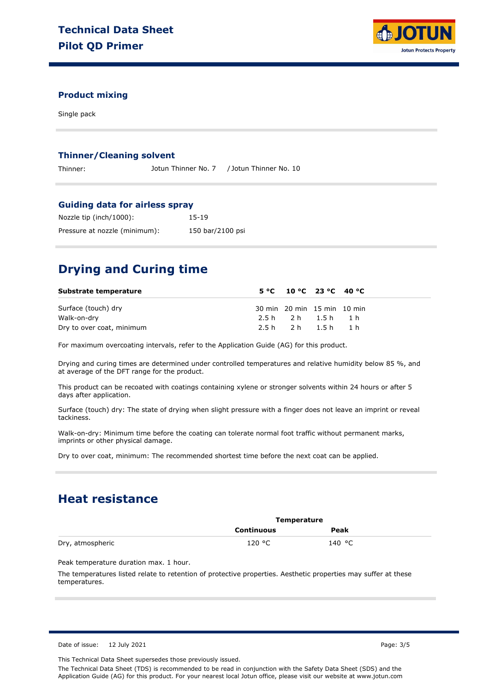

#### **Product mixing**

Single pack

#### **Thinner/Cleaning solvent**

Thinner: Jotun Thinner No. 7 / Jotun Thinner No. 10

#### **Guiding data for airless spray**

| Nozzle tip (inch/1000):       | 15-19            |
|-------------------------------|------------------|
| Pressure at nozzle (minimum): | 150 bar/2100 psi |

## **Drying and Curing time**

| Substrate temperature     | $5^{\circ}$ C 10 °C 23 °C 40 °C |  |
|---------------------------|---------------------------------|--|
| Surface (touch) dry       | 30 min 20 min 15 min 10 min     |  |
| Walk-on-dry               | 2.5h 2h 1.5h 1h                 |  |
| Dry to over coat, minimum | 2.5h 2h 1.5h 1h                 |  |

For maximum overcoating intervals, refer to the Application Guide (AG) for this product.

Drying and curing times are determined under controlled temperatures and relative humidity below 85 %, and at average of the DFT range for the product.

This product can be recoated with coatings containing xylene or stronger solvents within 24 hours or after 5 days after application.

Surface (touch) dry: The state of drying when slight pressure with a finger does not leave an imprint or reveal tackiness.

Walk-on-dry: Minimum time before the coating can tolerate normal foot traffic without permanent marks, imprints or other physical damage.

Dry to over coat, minimum: The recommended shortest time before the next coat can be applied.

### **Heat resistance**

|                  |                   | Temperature |  |
|------------------|-------------------|-------------|--|
|                  | <b>Continuous</b> | Peak        |  |
| Dry, atmospheric | 120 °C            | 140 °C      |  |

Peak temperature duration max. 1 hour.

The temperatures listed relate to retention of protective properties. Aesthetic properties may suffer at these temperatures.

This Technical Data Sheet supersedes those previously issued.

The Technical Data Sheet (TDS) is recommended to be read in conjunction with the Safety Data Sheet (SDS) and the Application Guide (AG) for this product. For your nearest local Jotun office, please visit our website at www.jotun.com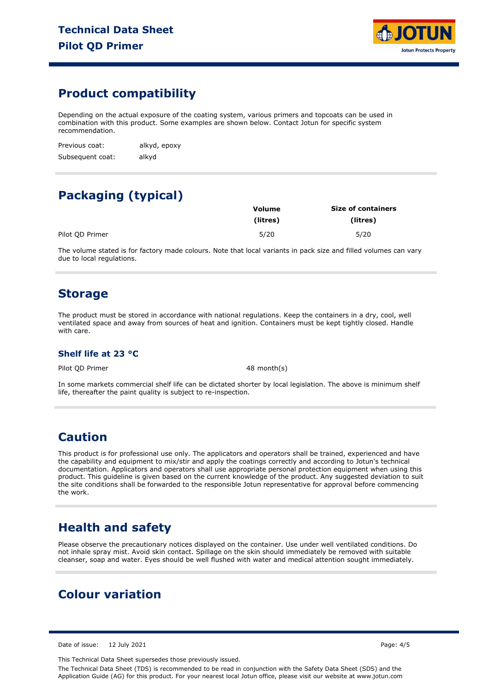

## **Product compatibility**

Depending on the actual exposure of the coating system, various primers and topcoats can be used in combination with this product. Some examples are shown below. Contact Jotun for specific system recommendation.

Previous coat: Subsequent coat: alkyd, epoxy alkyd

# **Packaging (typical)**

|                 | Volume   | <b>Size of containers</b> |  |  |
|-----------------|----------|---------------------------|--|--|
|                 | (litres) | (litres)                  |  |  |
| Pilot OD Primer | 5/20     | 5/20                      |  |  |

The volume stated is for factory made colours. Note that local variants in pack size and filled volumes can vary due to local regulations.

### **Storage**

The product must be stored in accordance with national regulations. Keep the containers in a dry, cool, well ventilated space and away from sources of heat and ignition. Containers must be kept tightly closed. Handle with care.

#### **Shelf life at 23 °C**

Pilot QD Primer 48 month(s)

In some markets commercial shelf life can be dictated shorter by local legislation. The above is minimum shelf life, thereafter the paint quality is subject to re-inspection.

### **Caution**

This product is for professional use only. The applicators and operators shall be trained, experienced and have the capability and equipment to mix/stir and apply the coatings correctly and according to Jotun's technical documentation. Applicators and operators shall use appropriate personal protection equipment when using this product. This guideline is given based on the current knowledge of the product. Any suggested deviation to suit the site conditions shall be forwarded to the responsible Jotun representative for approval before commencing the work.

### **Health and safety**

Please observe the precautionary notices displayed on the container. Use under well ventilated conditions. Do not inhale spray mist. Avoid skin contact. Spillage on the skin should immediately be removed with suitable cleanser, soap and water. Eyes should be well flushed with water and medical attention sought immediately.

# **Colour variation**

Date of issue: 12 July 2021 2021 2021 20:30 Page: 4/5

This Technical Data Sheet supersedes those previously issued.

The Technical Data Sheet (TDS) is recommended to be read in conjunction with the Safety Data Sheet (SDS) and the Application Guide (AG) for this product. For your nearest local Jotun office, please visit our website at www.jotun.com